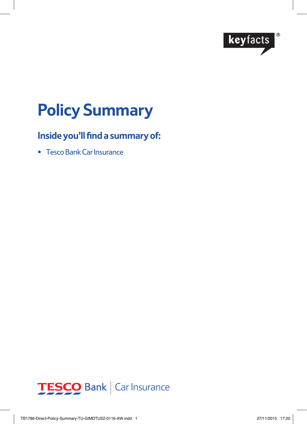

# **Policy Summary**

## **Inside you'll find a summary of:**

• Tesco Bank Car Insurance

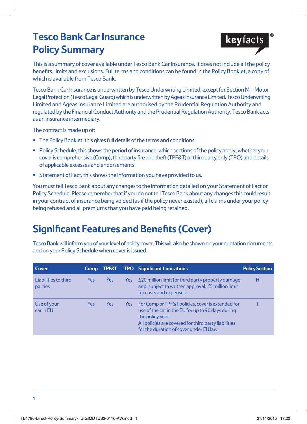# **Tesco Bank Car Insurance Policy Summary**



This is a summary of cover available under Tesco Bank Car Insurance. It does not include all the policy benefits, limits and exclusions. Full terms and conditions can be found in the Policy Booklet, a copy of which is available from Tesco Bank.

Tesco Bank Car Insurance is underwritten by Tesco Underwriting Limited, except for Section M – Motor Legal Protection (Tesco Legal Guard) which is underwritten by Ageas Insurance Limited. Tesco Underwriting Limited and Ageas Insurance Limited are authorised by the Prudential Regulation Authority and regulated by the Financial Conduct Authority and the Prudential Regulation Authority. Tesco Bank acts as an insurance intermediary.

The contract is made up of:

- **•** The Policy Booklet, this gives full details of the terms and conditions.
- **•** Policy Schedule, this shows the period of insurance, which sections of the policy apply, whether your cover is comprehensive (Comp), third party fire and theft (TPF&T) or third party only (TPO) and details of applicable excesses and endorsements.
- **•** Statement of Fact, this shows the information you have provided to us.

You must tell Tesco Bank about any changes to the information detailed on your Statement of Fact or Policy Schedule. Please remember that if you do not tell Tesco Bank about any changes this could result in your contract of insurance being voided (as if the policy never existed), all claims under your policy being refused and all premiums that you have paid being retained.

# **Significant Features and Benefits (Cover)**

Tesco Bank will inform you of your level of policy cover. This will also be shown on your quotation documents and on your Policy Schedule when cover is issued.

| Cover                                  | <b>Comp</b> | <b>TPF&amp;T</b> |      | <b>TPO</b> Significant Limitations                                                                                                                                                                                            | <b>Policy Section</b> |
|----------------------------------------|-------------|------------------|------|-------------------------------------------------------------------------------------------------------------------------------------------------------------------------------------------------------------------------------|-----------------------|
| Liabilities to third<br><b>parties</b> | <b>Yes</b>  | <b>Yes</b>       | Yes  | £20 million limit for third party property damage<br>and, subject to written approval, £5 million limit<br>for costs and expenses.                                                                                            | н                     |
| Use of your<br>car in EU               | Yes         | Yes              | Yes: | For Comp or TPF&T policies, cover is extended for<br>use of the car in the EU for up to 90 days during<br>the policy year.<br>All policies are covered for third party liabilities<br>for the duration of cover under EU law. |                       |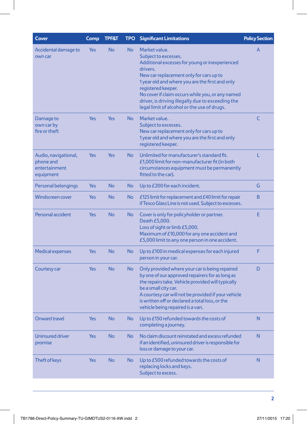| <b>Cover</b>                                                    | Comp       | <b>TPF&amp;T</b> | <b>TPO</b> | <b>Significant Limitations</b>                                                                                                                                                                                                                                                                                                                                                  | <b>Policy Section</b> |
|-----------------------------------------------------------------|------------|------------------|------------|---------------------------------------------------------------------------------------------------------------------------------------------------------------------------------------------------------------------------------------------------------------------------------------------------------------------------------------------------------------------------------|-----------------------|
| Accidental damage to<br>own car                                 | <b>Yes</b> | <b>No</b>        | <b>No</b>  | Market value.<br>Subject to excesses.<br>Additional excesses for young or inexperienced<br>drivers.<br>New car replacement only for cars up to<br>1 year old and where you are the first and only<br>registered keeper.<br>No cover if claim occurs while you, or any named<br>driver, is driving illegally due to exceeding the<br>legal limit of alcohol or the use of drugs. | A                     |
| Damage to<br>own car by<br>fire or theft                        | <b>Yes</b> | <b>Yes</b>       | <b>No</b>  | Market value.<br>Subject to excesses.<br>New car replacement only for cars up to<br>1 year old and where you are the first and only<br>registered keeper.                                                                                                                                                                                                                       | C                     |
| Audio, navigational,<br>phone and<br>entertainment<br>equipment | <b>Yes</b> | Yes              | <b>No</b>  | Unlimited for manufacturer's standard fit.<br>£1,000 limit for non-manufacturer fit (in both<br>circumstances equipment must be permanently<br>fitted to the car).                                                                                                                                                                                                              | L                     |
| Personal belongings                                             | <b>Yes</b> | <b>No</b>        | <b>No</b>  | Up to £200 for each incident.                                                                                                                                                                                                                                                                                                                                                   | G                     |
| <b>Windscreen cover</b>                                         | <b>Yes</b> | <b>No</b>        | <b>No</b>  | £125 limit for replacement and £40 limit for repair<br>if Tesco Glass Line is not used. Subject to excesses.                                                                                                                                                                                                                                                                    | <sub>B</sub>          |
| Personal accident                                               | <b>Yes</b> | <b>No</b>        | <b>No</b>  | Cover is only for policyholder or partner.<br>Death £5,000.<br>Loss of sight or limb £5,000.<br>Maximum of £10,000 for any one accident and<br>£5,000 limit to any one person in one accident.                                                                                                                                                                                  | E                     |
| <b>Medical expenses</b>                                         | <b>Yes</b> | <b>No</b>        | <b>No</b>  | Up to £100 in medical expenses for each injured<br>person in your car.                                                                                                                                                                                                                                                                                                          | F                     |
| Courtesy car                                                    | <b>Yes</b> | <b>No</b>        | <b>No</b>  | Only provided where your car is being repaired<br>by one of our approved repairers for as long as<br>the repairs take. Vehicle provided will typically<br>be a small city car.<br>A courtesy car will not be provided if your vehicle<br>is written off or declared a total loss, or the<br>vehicle being repaired is a van.                                                    | D                     |
| <b>Onward travel</b>                                            | <b>Yes</b> | <b>No</b>        | <b>No</b>  | Up to £150 refunded towards the costs of<br>completing a journey.                                                                                                                                                                                                                                                                                                               | N                     |
| <b>Uninsured driver</b><br>promise                              | <b>Yes</b> | <b>No</b>        | <b>No</b>  | No claim discount reinstated and excess refunded<br>if an identified, uninsured driver is responsible for<br>loss or damage to your car.                                                                                                                                                                                                                                        | N                     |
| Theft of keys                                                   | <b>Yes</b> | <b>No</b>        | <b>No</b>  | Up to £500 refunded towards the costs of<br>replacing locks and keys.<br>Subject to excess.                                                                                                                                                                                                                                                                                     | N                     |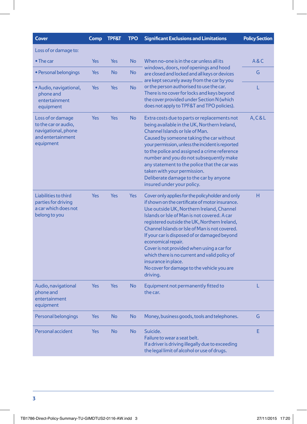| <b>Cover</b>                                                                                       | Comp       | <b>TPF&amp;T</b>                                                                                                      | <b>TPO</b>                                                                               | <b>Significant Exclusions and Limitations</b>                                                                                                                                                                                                                                                                                                                                                                                                                                                                                                            | <b>Policy Section</b> |
|----------------------------------------------------------------------------------------------------|------------|-----------------------------------------------------------------------------------------------------------------------|------------------------------------------------------------------------------------------|----------------------------------------------------------------------------------------------------------------------------------------------------------------------------------------------------------------------------------------------------------------------------------------------------------------------------------------------------------------------------------------------------------------------------------------------------------------------------------------------------------------------------------------------------------|-----------------------|
| Loss of or damage to:                                                                              |            |                                                                                                                       |                                                                                          |                                                                                                                                                                                                                                                                                                                                                                                                                                                                                                                                                          |                       |
| $\bullet$ The car                                                                                  | Yes        | Yes                                                                                                                   | No<br>When no-one is in the car unless all its<br>windows, doors, roof openings and hood | A & C                                                                                                                                                                                                                                                                                                                                                                                                                                                                                                                                                    |                       |
| • Personal belongings                                                                              | Yes        | <b>No</b><br><b>No</b><br>are closed and locked and all keys or devices<br>are kept securely away from the car by you | G                                                                                        |                                                                                                                                                                                                                                                                                                                                                                                                                                                                                                                                                          |                       |
| • Audio, navigational,<br>phone and<br>entertainment<br>equipment                                  | Yes        | <b>Yes</b>                                                                                                            | <b>No</b>                                                                                | or the person authorised to use the car.<br>There is no cover for locks and keys beyond<br>the cover provided under Section N (which<br>does not apply to TPF&T and TPO policies).                                                                                                                                                                                                                                                                                                                                                                       | L                     |
| Loss of or damage<br>to the car or audio,<br>navigational, phone<br>and entertainment<br>equipment | <b>Yes</b> | <b>Yes</b>                                                                                                            | <b>No</b>                                                                                | Extra costs due to parts or replacements not<br>being available in the UK, Northern Ireland,<br>Channel Islands or Isle of Man.<br>Caused by someone taking the car without<br>your permission, unless the incident is reported<br>to the police and assigned a crime reference<br>number and you do not subsequently make<br>any statement to the police that the car was<br>taken with your permission.<br>Deliberate damage to the car by anyone<br>insured under your policy.                                                                        | A, C & L              |
| Liabilities to third<br>parties for driving<br>a car which does not<br>belong to you               | Yes        | Yes                                                                                                                   | Yes                                                                                      | Cover only applies for the policyholder and only<br>if shown on the certificate of motor insurance.<br>Use outside UK, Northern Ireland, Channel<br>Islands or Isle of Man is not covered. A car<br>registered outside the UK, Northern Ireland,<br>Channel Islands or Isle of Man is not covered.<br>If your car is disposed of or damaged beyond<br>economical repair.<br>Cover is not provided when using a car for<br>which there is no current and valid policy of<br>insurance in place.<br>No cover for damage to the vehicle you are<br>driving. | н                     |
| Audio, navigational<br>phone and<br>entertainment<br>equipment                                     | <b>Yes</b> | Yes                                                                                                                   | <b>No</b>                                                                                | Equipment not permanently fitted to<br>the car.                                                                                                                                                                                                                                                                                                                                                                                                                                                                                                          | L                     |
| Personal belongings                                                                                | <b>Yes</b> | <b>No</b>                                                                                                             | <b>No</b>                                                                                | Money, business goods, tools and telephones.                                                                                                                                                                                                                                                                                                                                                                                                                                                                                                             | G                     |
| Personal accident                                                                                  | Yes        | <b>No</b>                                                                                                             | <b>No</b>                                                                                | Suicide.<br>Failure to wear a seat belt.<br>If a driver is driving illegally due to exceeding<br>the legal limit of alcohol or use of drugs.                                                                                                                                                                                                                                                                                                                                                                                                             | E                     |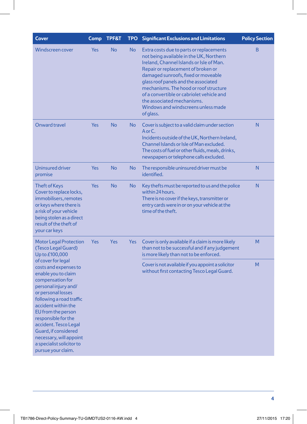| <b>Cover</b>                                                                                                                                                                                                                                                                                                                                                        | Comp                     | <b>TPF&amp;T</b> | <b>TPO</b>                                                                                       | <b>Significant Exclusions and Limitations</b>                                                                                                                                                                                                                                                                                                                                                                                 | <b>Policy Section</b> |
|---------------------------------------------------------------------------------------------------------------------------------------------------------------------------------------------------------------------------------------------------------------------------------------------------------------------------------------------------------------------|--------------------------|------------------|--------------------------------------------------------------------------------------------------|-------------------------------------------------------------------------------------------------------------------------------------------------------------------------------------------------------------------------------------------------------------------------------------------------------------------------------------------------------------------------------------------------------------------------------|-----------------------|
| <b>Windscreen cover</b>                                                                                                                                                                                                                                                                                                                                             | Yes                      | <b>No</b>        | <b>No</b>                                                                                        | Extra costs due to parts or replacements<br>not being available in the UK, Northern<br>Ireland, Channel Islands or Isle of Man.<br>Repair or replacement of broken or<br>damaged sunroofs, fixed or moveable<br>glass roof panels and the associated<br>mechanisms. The hood or roof structure<br>of a convertible or cabriolet vehicle and<br>the associated mechanisms.<br>Windows and windscreens unless made<br>of glass. | B                     |
| Onward travel                                                                                                                                                                                                                                                                                                                                                       | Yes                      | <b>No</b>        | <b>No</b>                                                                                        | Cover is subject to a valid claim under section<br>AorC.<br>Incidents outside of the UK, Northern Ireland,<br>Channel Islands or Isle of Man excluded.<br>The costs of fuel or other fluids, meals, drinks,<br>newspapers or telephone calls excluded.                                                                                                                                                                        | N                     |
| Uninsured driver<br>promise                                                                                                                                                                                                                                                                                                                                         | Yes                      | <b>No</b>        | <b>No</b>                                                                                        | The responsible uninsured driver must be<br>identified.                                                                                                                                                                                                                                                                                                                                                                       | N                     |
| <b>Theft of Keys</b><br>Cover to replace locks,<br>immobilisers, remotes<br>or keys where there is<br>a risk of your vehicle<br>being stolen as a direct<br>result of the theft of<br>your car keys                                                                                                                                                                 | Yes                      | <b>No</b>        | <b>No</b>                                                                                        | Key thefts must be reported to us and the police<br>within 24 hours.<br>There is no cover if the keys, transmitter or<br>entry cards were in or on your vehicle at the<br>time of the theft.                                                                                                                                                                                                                                  | N                     |
| <b>Motor Legal Protection</b><br>(Tesco Legal Guard)<br>Up to £100,000                                                                                                                                                                                                                                                                                              | <b>Yes</b><br><b>Yes</b> |                  | Yes                                                                                              | Cover is only available if a claim is more likely<br>than not to be successful and if any judgement<br>is more likely than not to be enforced.                                                                                                                                                                                                                                                                                | M                     |
| of cover for legal<br>costs and expenses to<br>enable you to claim<br>compensation for<br>personal injury and/<br>or personal losses<br>following a road traffic<br>accident within the<br>EU from the person<br>responsible for the<br>accident. Tesco Legal<br>Guard, if considered<br>necessary, will appoint<br>a specialist solicitor to<br>pursue your claim. |                          |                  | Cover is not available if you appoint a solicitor<br>without first contacting Tesco Legal Guard. | M                                                                                                                                                                                                                                                                                                                                                                                                                             |                       |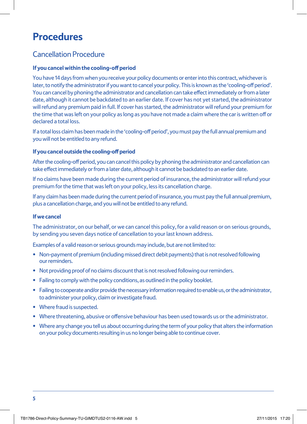# **Procedures**

### Cancellation Procedure

#### **If you cancel within the cooling-off period**

You have 14 days from when you receive your policy documents or enter into this contract, whichever is later, to notify the administrator if you want to cancel your policy. This is known as the 'cooling-off period'. You can cancel by phoning the administrator and cancellation can take effect immediately or from a later date, although it cannot be backdated to an earlier date. If cover has not yet started, the administrator will refund any premium paid in full. If cover has started, the administrator will refund your premium for the time that was left on your policy as long as you have not made a claim where the car is written off or declared a total loss.

If a total loss claim has been made in the 'cooling-off period', you must pay the full annual premium and you will not be entitled to any refund.

#### **If you cancel outside the cooling-off period**

After the cooling-off period, you can cancel this policy by phoning the administrator and cancellation can take effect immediately or from a later date, although it cannot be backdated to an earlier date.

If no claims have been made during the current period of insurance, the administrator will refund your premium for the time that was left on your policy, less its cancellation charge.

If any claim has been made during the current period of insurance, you must pay the full annual premium, plus a cancellation charge, and you will not be entitled to any refund.

#### **If we cancel**

The administrator, on our behalf, or we can cancel this policy, for a valid reason or on serious grounds, by sending you seven days notice of cancellation to your last known address.

Examples of a valid reason or serious grounds may include, but are not limited to:

- Non-payment of premium (including missed direct debit payments) that is not resolved following our reminders.
- Not providing proof of no claims discount that is not resolved following our reminders.
- Failing to comply with the policy conditions, as outlined in the policy booklet.
- Failing to cooperate and/or provide the necessary information required to enable us, or the administrator, to administer your policy, claim or investigate fraud.
- Where fraud is suspected.
- Where threatening, abusive or offensive behaviour has been used towards us or the administrator.
- Where any change you tell us about occurring during the term of your policy that alters the information on your policy documents resulting in us no longer being able to continue cover.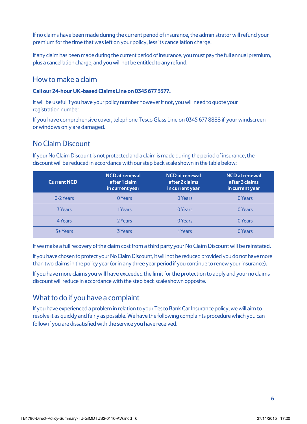If no claims have been made during the current period of insurance, the administrator will refund your premium for the time that was left on your policy, less its cancellation charge.

If any claim has been made during the current period of insurance, you must pay the full annual premium, plus a cancellation charge, and you will not be entitled to any refund.

### How to make a claim

#### **Call our 24-hour UK-based Claims Line on 0345 677 3377.**

It will be useful if you have your policy number however if not, you will need to quote your registration number.

If you have comprehensive cover, telephone Tesco Glass Line on 0345 677 8888 if your windscreen or windows only are damaged.

### No Claim Discount

If your No Claim Discount is not protected and a claim is made during the period of insurance, the discount will be reduced in accordance with our step back scale shown in the table below:

| <b>Current NCD</b> | <b>NCD</b> at renewal<br>after 1 claim<br>in current year | <b>NCD</b> at renewal<br>after 2 claims<br>in current year | <b>NCD</b> at renewal<br>after 3 claims<br>in current year |
|--------------------|-----------------------------------------------------------|------------------------------------------------------------|------------------------------------------------------------|
| 0-2 Years          | 0 Years                                                   | 0 Years                                                    | 0 Years                                                    |
| 3 Years            | 1Years                                                    | 0 Years                                                    | 0 Years                                                    |
| 4 Years            | 2 Years                                                   | 0 Years                                                    | 0 Years                                                    |
| 5+ Years           | <b>3 Years</b>                                            | 1Years                                                     | 0 Years                                                    |

If we make a full recovery of the claim cost from a third party your No Claim Discount will be reinstated.

If you have chosen to protect your No Claim Discount, it will not be reduced provided you do not have more than two claims in the policy year (or in any three year period if you continue to renew your insurance).

If you have more claims you will have exceeded the limit for the protection to apply and your no claims discount will reduce in accordance with the step back scale shown opposite.

### What to do if you have a complaint

If you have experienced a problem in relation to your Tesco Bank Car Insurance policy, we will aim to resolve it as quickly and fairly as possible. We have the following complaints procedure which you can follow if you are dissatisfied with the service you have received.